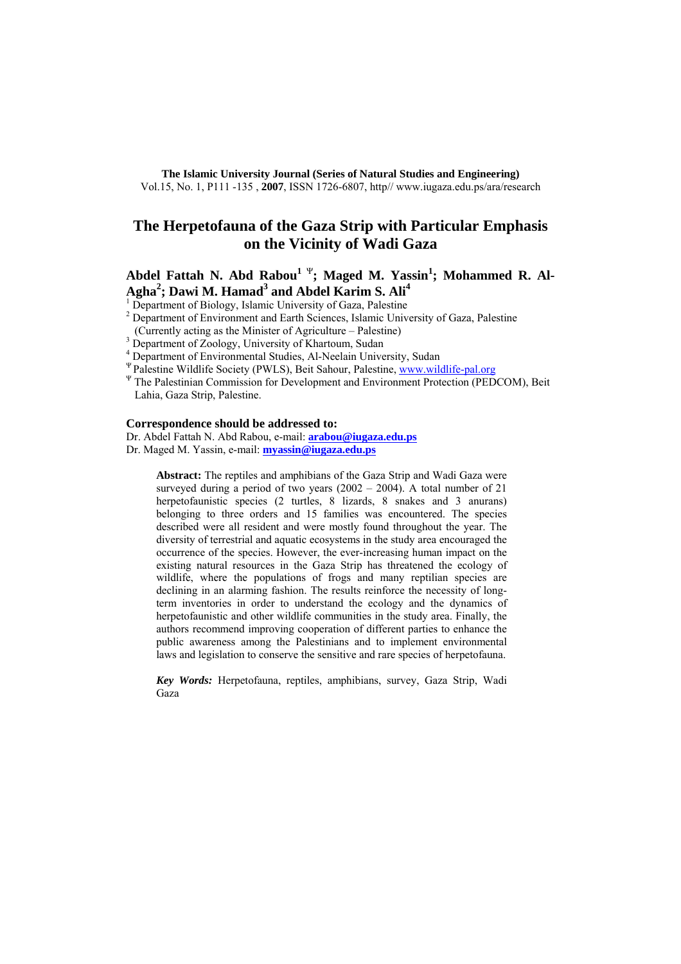**The Islamic University Journal (Series of Natural Studies and Engineering)**  Vol.15, No. 1, P111 -135 , **2007**, ISSN 1726-6807, http// www.iugaza.edu.ps/ara/research

# **The Herpetofauna of the Gaza Strip with Particular Emphasis on the Vicinity of Wadi Gaza**

**Abdel Fattah N. Abd Rabou<sup>1 Ψ</sup>; Maged M. Yassin<sup>1</sup>; Mohammed R. Al-**Agha<sup>2</sup>; Dawi M. Hamad<sup>3</sup> and Abdel Karim S. Ali<sup>4</sup>

<sup>1</sup> Department of Biology, Islamic University of Gaza, Palestine

- <sup>2</sup> Department of Environment and Earth Sciences, Islamic University of Gaza, Palestine
- (Currently acting as the Minister of Agriculture Palestine)
- <sup>3</sup> Department of Zoology, University of Khartoum, Sudan
- <sup>4</sup> Department of Environmental Studies, Al-Neelain University, Sudan
- <sup>Ψ</sup> Palestine Wildlife Society (PWLS), Beit Sahour, Palestine, www.wildlife-pal.org<br><sup>Ψ</sup> The Palestinian Commission for Development and Environment Protection (PEDCOM), Beit
- Lahia, Gaza Strip, Palestine.

#### **Correspondence should be addressed to:**

Dr. Abdel Fattah N. Abd Rabou, e-mail: **arabou@iugaza.edu.ps** Dr. Maged M. Yassin, e-mail: **myassin@iugaza.edu.ps**

**Abstract:** The reptiles and amphibians of the Gaza Strip and Wadi Gaza were surveyed during a period of two years  $(2002 - 2004)$ . A total number of 21 herpetofaunistic species (2 turtles, 8 lizards, 8 snakes and 3 anurans) belonging to three orders and 15 families was encountered. The species described were all resident and were mostly found throughout the year. The diversity of terrestrial and aquatic ecosystems in the study area encouraged the occurrence of the species. However, the ever-increasing human impact on the existing natural resources in the Gaza Strip has threatened the ecology of wildlife, where the populations of frogs and many reptilian species are declining in an alarming fashion. The results reinforce the necessity of longterm inventories in order to understand the ecology and the dynamics of herpetofaunistic and other wildlife communities in the study area. Finally, the authors recommend improving cooperation of different parties to enhance the public awareness among the Palestinians and to implement environmental laws and legislation to conserve the sensitive and rare species of herpetofauna.

*Key Words:* Herpetofauna, reptiles, amphibians, survey, Gaza Strip, Wadi Gaza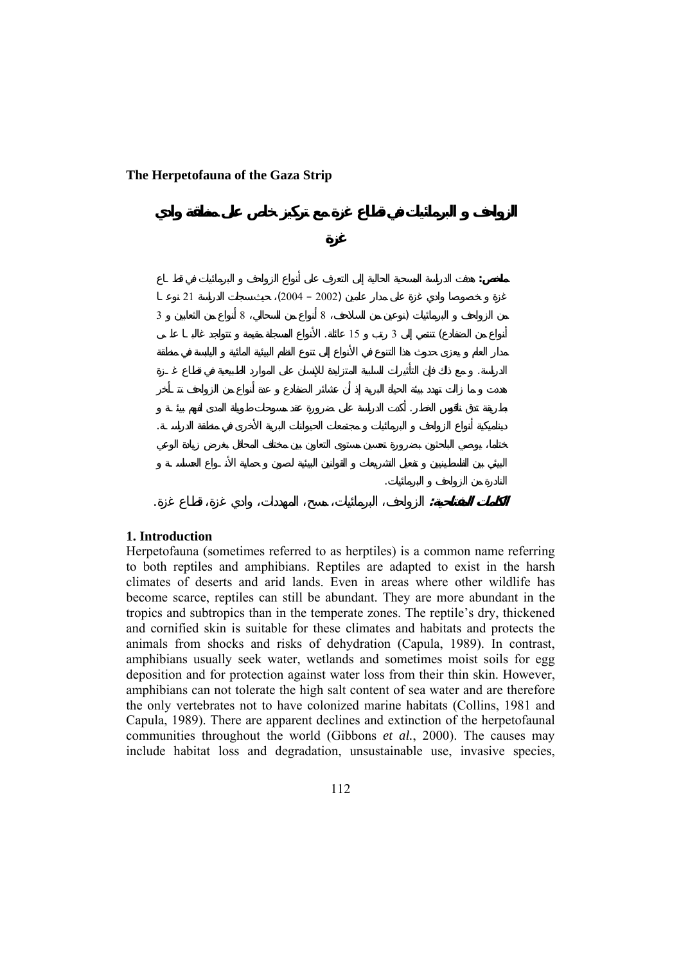$(2004 - 2002)$ 

#### **1. Introduction**

Herpetofauna (sometimes referred to as herptiles) is a common name referring to both reptiles and amphibians. Reptiles are adapted to exist in the harsh climates of deserts and arid lands. Even in areas where other wildlife has become scarce, reptiles can still be abundant. They are more abundant in the tropics and subtropics than in the temperate zones. The reptile's dry, thickened and cornified skin is suitable for these climates and habitats and protects the animals from shocks and risks of dehydration (Capula, 1989). In contrast, amphibians usually seek water, wetlands and sometimes moist soils for egg deposition and for protection against water loss from their thin skin. However, amphibians can not tolerate the high salt content of sea water and are therefore the only vertebrates not to have colonized marine habitats (Collins, 1981 and Capula, 1989). There are apparent declines and extinction of the herpetofaunal communities throughout the world (Gibbons *et al.*, 2000). The causes may include habitat loss and degradation, unsustainable use, invasive species,

**ملخص:** هدف الدراسة المسحية الحالية إلى التعرف على أنواع الزواحف البرمائيات في قطـاع

 $\begin{array}{ccc} 3 & 8 & 8 & 1 \end{array}$  $\begin{array}{ccc} 15 & 3 & \end{array}$ 

الدراسة. مع ذل فإن التأثيرات السلبية المتزايدة للإنسان على الموارد الطبيعية في قطاع غـزة

بطريقة تدق ناقوس الخطر. أكدت الدراسة على ضرورة عقد مسوحات طويلة المدى لفهم بيئـة ديناميكية نواع الزواحف البرمائيات مجتمعات الحيوانات البرية الأخرى في منطقة الدراسـة.

**الكلمات المفتاحية:** الزواحف البرمائيات، مسح، المهددات، وادي غزة، قطاع غزة.

النادرة من الزواحف البرمائيات.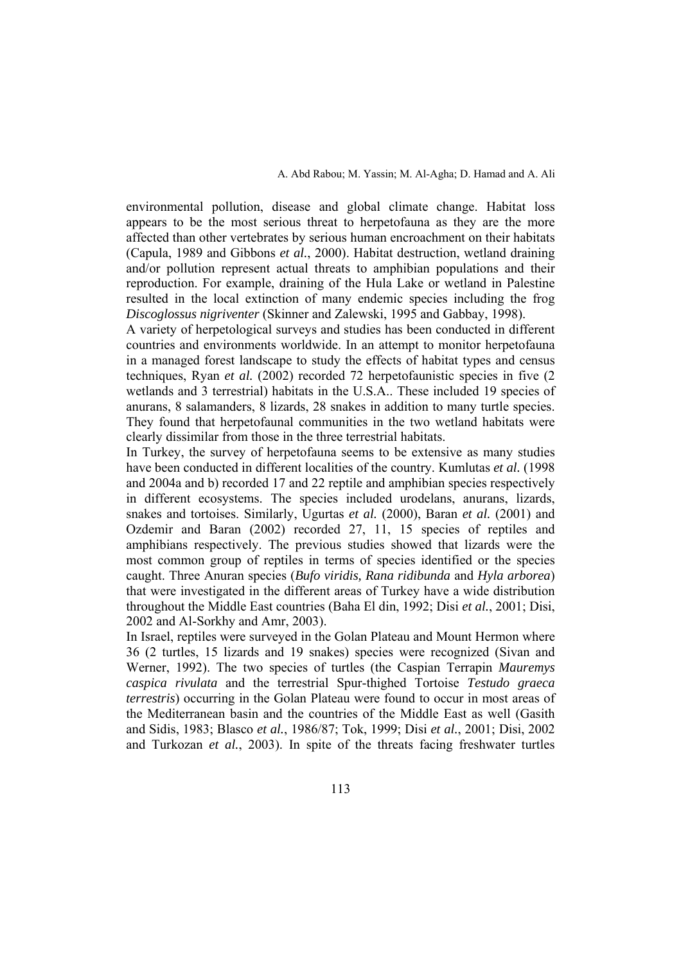environmental pollution, disease and global climate change. Habitat loss appears to be the most serious threat to herpetofauna as they are the more affected than other vertebrates by serious human encroachment on their habitats (Capula, 1989 and Gibbons *et al.*, 2000). Habitat destruction, wetland draining and/or pollution represent actual threats to amphibian populations and their reproduction. For example, draining of the Hula Lake or wetland in Palestine resulted in the local extinction of many endemic species including the frog *Discoglossus nigriventer* (Skinner and Zalewski, 1995 and Gabbay, 1998).

A variety of herpetological surveys and studies has been conducted in different countries and environments worldwide. In an attempt to monitor herpetofauna in a managed forest landscape to study the effects of habitat types and census techniques, Ryan *et al.* (2002) recorded 72 herpetofaunistic species in five (2 wetlands and 3 terrestrial) habitats in the U.S.A.. These included 19 species of anurans, 8 salamanders, 8 lizards, 28 snakes in addition to many turtle species. They found that herpetofaunal communities in the two wetland habitats were clearly dissimilar from those in the three terrestrial habitats.

In Turkey, the survey of herpetofauna seems to be extensive as many studies have been conducted in different localities of the country. Kumlutas *et al.* (1998 and 2004a and b) recorded 17 and 22 reptile and amphibian species respectively in different ecosystems. The species included urodelans, anurans, lizards, snakes and tortoises. Similarly, Ugurtas *et al.* (2000), Baran *et al.* (2001) and Ozdemir and Baran (2002) recorded 27, 11, 15 species of reptiles and amphibians respectively. The previous studies showed that lizards were the most common group of reptiles in terms of species identified or the species caught. Three Anuran species (*Bufo viridis, Rana ridibunda* and *Hyla arborea*) that were investigated in the different areas of Turkey have a wide distribution throughout the Middle East countries (Baha El din, 1992; Disi *et al.*, 2001; Disi, 2002 and Al-Sorkhy and Amr, 2003).

In Israel, reptiles were surveyed in the Golan Plateau and Mount Hermon where 36 (2 turtles, 15 lizards and 19 snakes) species were recognized (Sivan and Werner, 1992). The two species of turtles (the Caspian Terrapin *Mauremys caspica rivulata* and the terrestrial Spur-thighed Tortoise *Testudo graeca terrestris*) occurring in the Golan Plateau were found to occur in most areas of the Mediterranean basin and the countries of the Middle East as well (Gasith and Sidis, 1983; Blasco *et al.*, 1986/87; Tok, 1999; Disi *et al.*, 2001; Disi, 2002 and Turkozan *et al.*, 2003). In spite of the threats facing freshwater turtles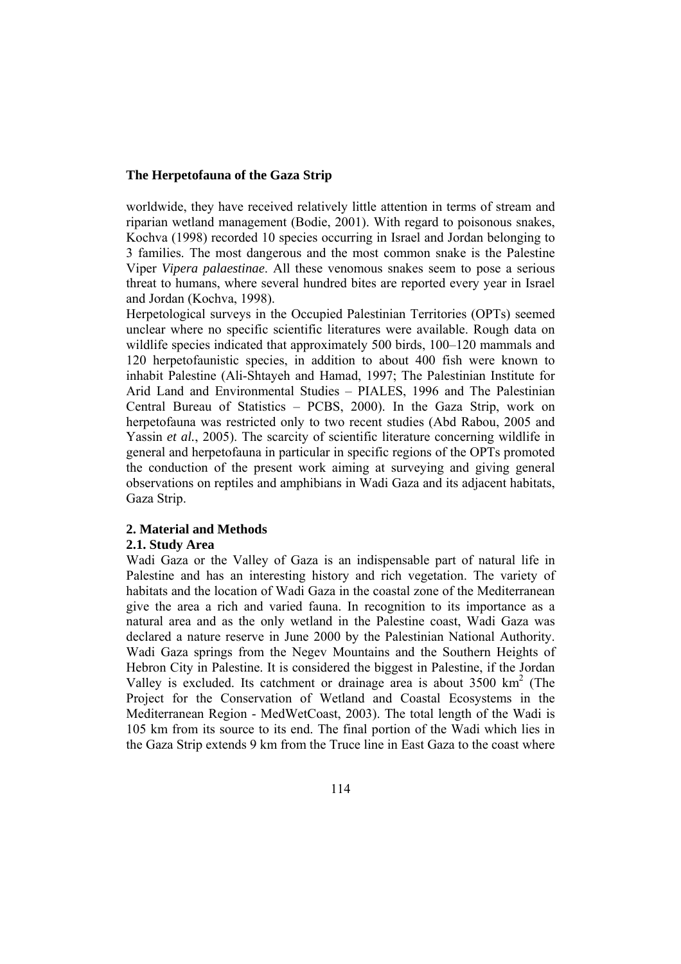worldwide, they have received relatively little attention in terms of stream and riparian wetland management (Bodie, 2001). With regard to poisonous snakes, Kochva (1998) recorded 10 species occurring in Israel and Jordan belonging to 3 families. The most dangerous and the most common snake is the Palestine Viper *Vipera palaestinae*. All these venomous snakes seem to pose a serious threat to humans, where several hundred bites are reported every year in Israel and Jordan (Kochva, 1998).

Herpetological surveys in the Occupied Palestinian Territories (OPTs) seemed unclear where no specific scientific literatures were available. Rough data on wildlife species indicated that approximately 500 birds, 100–120 mammals and 120 herpetofaunistic species, in addition to about 400 fish were known to inhabit Palestine (Ali-Shtayeh and Hamad, 1997; The Palestinian Institute for Arid Land and Environmental Studies – PIALES, 1996 and The Palestinian Central Bureau of Statistics – PCBS, 2000). In the Gaza Strip, work on herpetofauna was restricted only to two recent studies (Abd Rabou, 2005 and Yassin *et al.*, 2005). The scarcity of scientific literature concerning wildlife in general and herpetofauna in particular in specific regions of the OPTs promoted the conduction of the present work aiming at surveying and giving general observations on reptiles and amphibians in Wadi Gaza and its adjacent habitats, Gaza Strip.

#### **2. Material and Methods**

#### **2.1. Study Area**

Wadi Gaza or the Valley of Gaza is an indispensable part of natural life in Palestine and has an interesting history and rich vegetation. The variety of habitats and the location of Wadi Gaza in the coastal zone of the Mediterranean give the area a rich and varied fauna. In recognition to its importance as a natural area and as the only wetland in the Palestine coast, Wadi Gaza was declared a nature reserve in June 2000 by the Palestinian National Authority. Wadi Gaza springs from the Negev Mountains and the Southern Heights of Hebron City in Palestine. It is considered the biggest in Palestine, if the Jordan Valley is excluded. Its catchment or drainage area is about 3500 km<sup>2</sup> (The Project for the Conservation of Wetland and Coastal Ecosystems in the Mediterranean Region - MedWetCoast, 2003). The total length of the Wadi is 105 km from its source to its end. The final portion of the Wadi which lies in the Gaza Strip extends 9 km from the Truce line in East Gaza to the coast where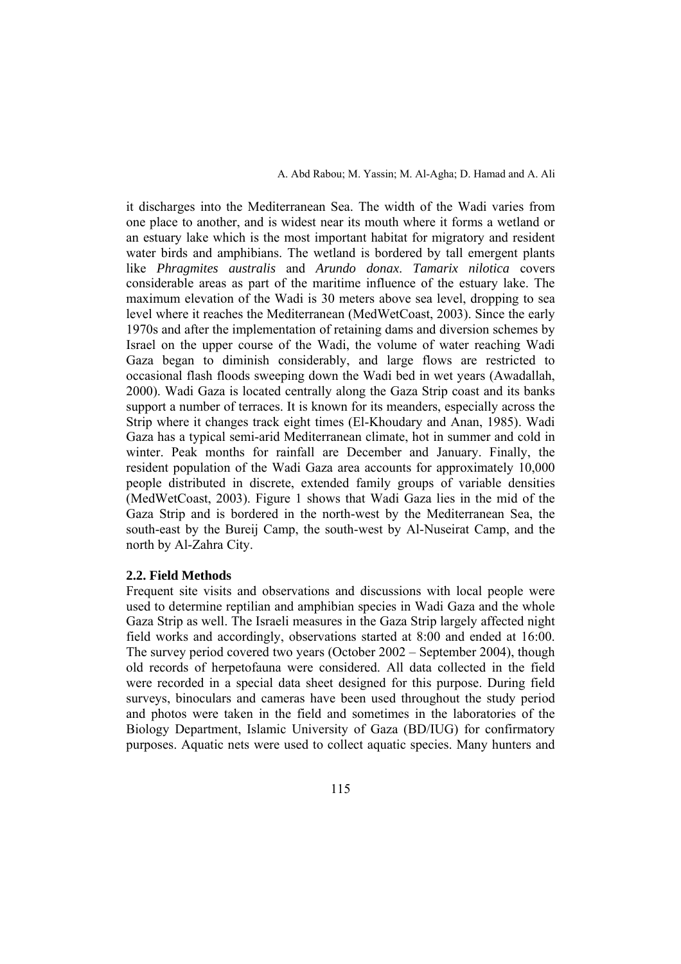it discharges into the Mediterranean Sea. The width of the Wadi varies from one place to another, and is widest near its mouth where it forms a wetland or an estuary lake which is the most important habitat for migratory and resident water birds and amphibians. The wetland is bordered by tall emergent plants like *Phragmites australis* and *Arundo donax*. *Tamarix nilotica* covers considerable areas as part of the maritime influence of the estuary lake. The maximum elevation of the Wadi is 30 meters above sea level, dropping to sea level where it reaches the Mediterranean (MedWetCoast, 2003). Since the early 1970s and after the implementation of retaining dams and diversion schemes by Israel on the upper course of the Wadi, the volume of water reaching Wadi Gaza began to diminish considerably, and large flows are restricted to occasional flash floods sweeping down the Wadi bed in wet years (Awadallah, 2000). Wadi Gaza is located centrally along the Gaza Strip coast and its banks support a number of terraces. It is known for its meanders, especially across the Strip where it changes track eight times (El-Khoudary and Anan, 1985). Wadi Gaza has a typical semi-arid Mediterranean climate, hot in summer and cold in winter. Peak months for rainfall are December and January. Finally, the resident population of the Wadi Gaza area accounts for approximately 10,000 people distributed in discrete, extended family groups of variable densities (MedWetCoast, 2003). Figure 1 shows that Wadi Gaza lies in the mid of the Gaza Strip and is bordered in the north-west by the Mediterranean Sea, the south-east by the Bureij Camp, the south-west by Al-Nuseirat Camp, and the north by Al-Zahra City.

#### **2.2. Field Methods**

Frequent site visits and observations and discussions with local people were used to determine reptilian and amphibian species in Wadi Gaza and the whole Gaza Strip as well. The Israeli measures in the Gaza Strip largely affected night field works and accordingly, observations started at 8:00 and ended at 16:00. The survey period covered two years (October 2002 – September 2004), though old records of herpetofauna were considered. All data collected in the field were recorded in a special data sheet designed for this purpose. During field surveys, binoculars and cameras have been used throughout the study period and photos were taken in the field and sometimes in the laboratories of the Biology Department, Islamic University of Gaza (BD/IUG) for confirmatory purposes. Aquatic nets were used to collect aquatic species. Many hunters and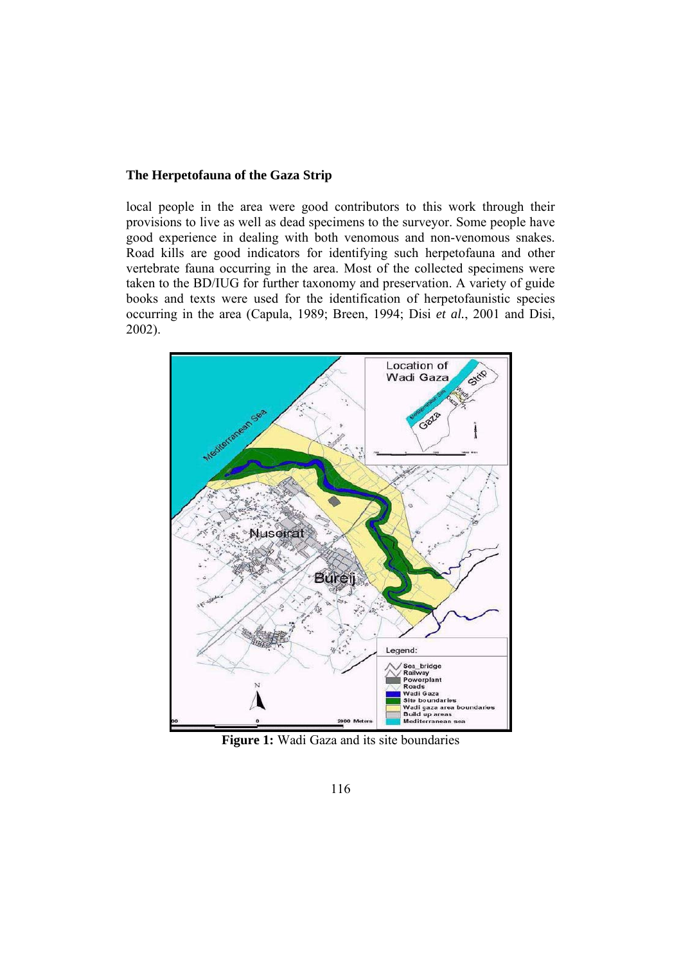local people in the area were good contributors to this work through their provisions to live as well as dead specimens to the surveyor. Some people have good experience in dealing with both venomous and non-venomous snakes. Road kills are good indicators for identifying such herpetofauna and other vertebrate fauna occurring in the area. Most of the collected specimens were taken to the BD/IUG for further taxonomy and preservation. A variety of guide books and texts were used for the identification of herpetofaunistic species occurring in the area (Capula, 1989; Breen, 1994; Disi *et al.*, 2001 and Disi, 2002).



**Figure 1:** Wadi Gaza and its site boundaries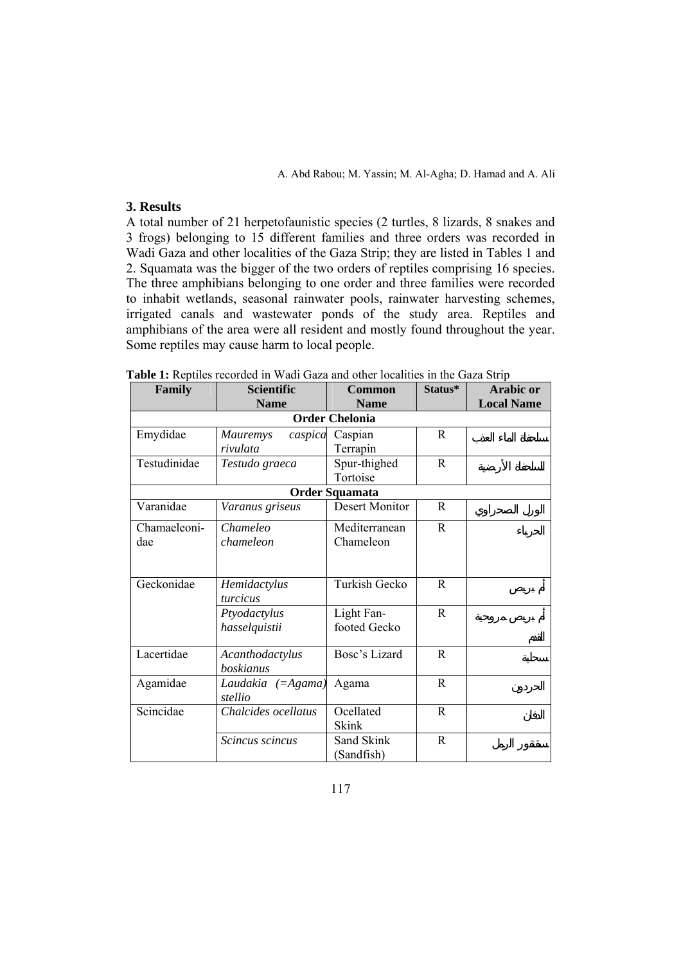## **3. Results**

A total number of 21 herpetofaunistic species (2 turtles, 8 lizards, 8 snakes and 3 frogs) belonging to 15 different families and three orders was recorded in Wadi Gaza and other localities of the Gaza Strip; they are listed in Tables 1 and 2. Squamata was the bigger of the two orders of reptiles comprising 16 species. The three amphibians belonging to one order and three families were recorded to inhabit wetlands, seasonal rainwater pools, rainwater harvesting schemes, irrigated canals and wastewater ponds of the study area. Reptiles and amphibians of the area were all resident and mostly found throughout the year. Some reptiles may cause harm to local people.

| Family                | <b>Scientific</b>   | <b>Common</b>         | Status*      | <b>Arabic or</b>  |  |  |
|-----------------------|---------------------|-----------------------|--------------|-------------------|--|--|
|                       | <b>Name</b>         | <b>Name</b>           |              | <b>Local Name</b> |  |  |
| <b>Order Chelonia</b> |                     |                       |              |                   |  |  |
| Emydidae              | Mauremys<br>caspica | Caspian               | R.           |                   |  |  |
|                       | rivulata            | Terrapin              |              |                   |  |  |
| Testudinidae          | Testudo graeca      | Spur-thighed          | R            |                   |  |  |
|                       |                     | Tortoise              |              |                   |  |  |
|                       |                     | <b>Order Squamata</b> |              |                   |  |  |
| Varanidae             | Varanus griseus     | Desert Monitor        | R.           |                   |  |  |
| Chamaeleoni-          | Chameleo            | Mediterranean         | $\mathbf{R}$ |                   |  |  |
| dae                   | chameleon           | Chameleon             |              |                   |  |  |
|                       |                     |                       |              |                   |  |  |
|                       |                     |                       |              |                   |  |  |
| Geckonidae            | Hemidactylus        | Turkish Gecko         | R.           |                   |  |  |
|                       | turcicus            |                       |              |                   |  |  |
|                       | Ptyodactylus        | Light Fan-            | R.           |                   |  |  |
|                       | hasselquistii       | footed Gecko          |              |                   |  |  |
|                       |                     |                       |              |                   |  |  |
| Lacertidae            | Acanthodactylus     | Bosc's Lizard         | $\mathsf{R}$ |                   |  |  |
|                       | boskianus           |                       |              |                   |  |  |
| Agamidae              | Laudakia (=Agama)   | Agama                 | R            |                   |  |  |
|                       | stellio             |                       |              |                   |  |  |
| Scincidae             | Chalcides ocellatus | Ocellated             | R            |                   |  |  |
|                       |                     | Skink                 |              |                   |  |  |
|                       | Scincus scincus     | Sand Skink            | $\mathbb{R}$ |                   |  |  |
|                       |                     | (Sandfish)            |              |                   |  |  |

**Table 1:** Reptiles recorded in Wadi Gaza and other localities in the Gaza Strip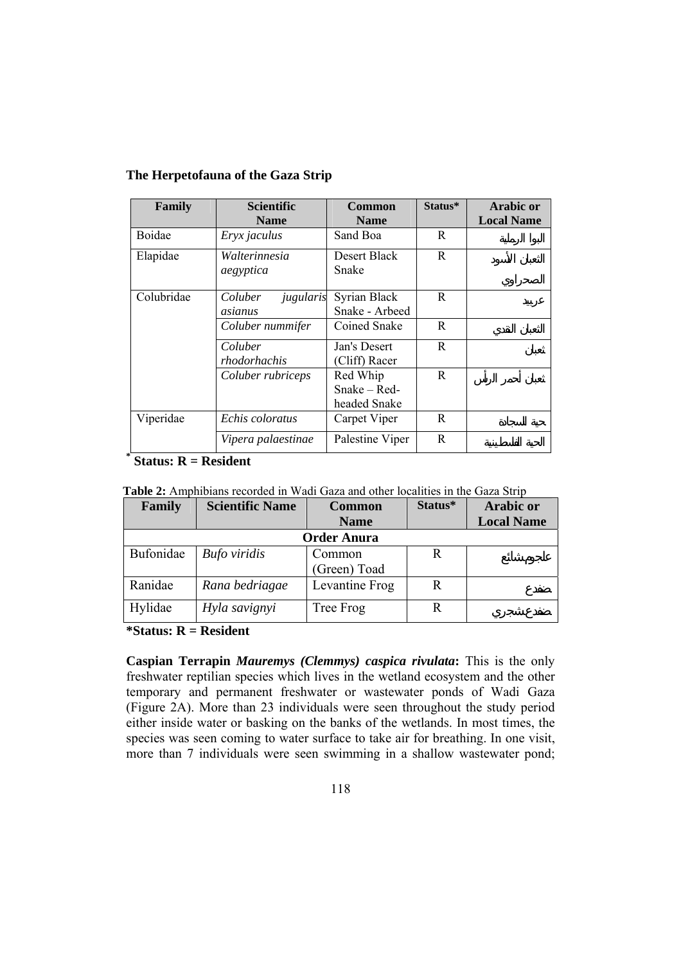| Family     | <b>Scientific</b>    | <b>Common</b>   | Status* | <b>Arabic or</b>  |
|------------|----------------------|-----------------|---------|-------------------|
|            | <b>Name</b>          | <b>Name</b>     |         | <b>Local Name</b> |
| Boidae     | Eryx jaculus         | Sand Boa        | R       |                   |
| Elapidae   | Walterinnesia        | Desert Black    | R.      |                   |
|            | aegyptica            | Snake           |         |                   |
|            |                      |                 |         |                   |
| Colubridae | Coluber<br>jugularis | Syrian Black    | R.      |                   |
|            | asianus              | Snake - Arbeed  |         |                   |
|            | Coluber nummifer     | Coined Snake    | R.      |                   |
|            | Coluber              | Jan's Desert    | R       |                   |
|            | rhodorhachis         | (Cliff) Racer   |         |                   |
|            | Coluber rubriceps    | Red Whip        | R.      |                   |
|            |                      | $Snake - Red-$  |         |                   |
|            |                      | headed Snake    |         |                   |
| Viperidae  | Echis coloratus      | Carpet Viper    | R       |                   |
|            | Vipera palaestinae   | Palestine Viper | R       |                   |

**\* Status: R = Resident** 

| <b>Table 2:</b> Amphibians recorded in Wadi Gaza and other localities in the Gaza Strip |  |  |
|-----------------------------------------------------------------------------------------|--|--|
|-----------------------------------------------------------------------------------------|--|--|

| Family             | <b>Scientific Name</b> | <b>Common</b>  | Status* | <b>Arabic or</b>  |  |
|--------------------|------------------------|----------------|---------|-------------------|--|
|                    |                        | <b>Name</b>    |         | <b>Local Name</b> |  |
| <b>Order Anura</b> |                        |                |         |                   |  |
| Bufonidae          | <b>Bufo</b> viridis    | Common         | R       |                   |  |
|                    |                        | (Green) Toad   |         |                   |  |
| Ranidae            | Rana bedriagae         | Levantine Frog | R       |                   |  |
| Hylidae            | Hyla savignyi          | Tree Frog      |         |                   |  |

**\*Status: R = Resident** 

**Caspian Terrapin** *Mauremys (Clemmys) caspica rivulata***:** This is the only freshwater reptilian species which lives in the wetland ecosystem and the other temporary and permanent freshwater or wastewater ponds of Wadi Gaza (Figure 2A). More than 23 individuals were seen throughout the study period either inside water or basking on the banks of the wetlands. In most times, the species was seen coming to water surface to take air for breathing. In one visit, more than 7 individuals were seen swimming in a shallow wastewater pond;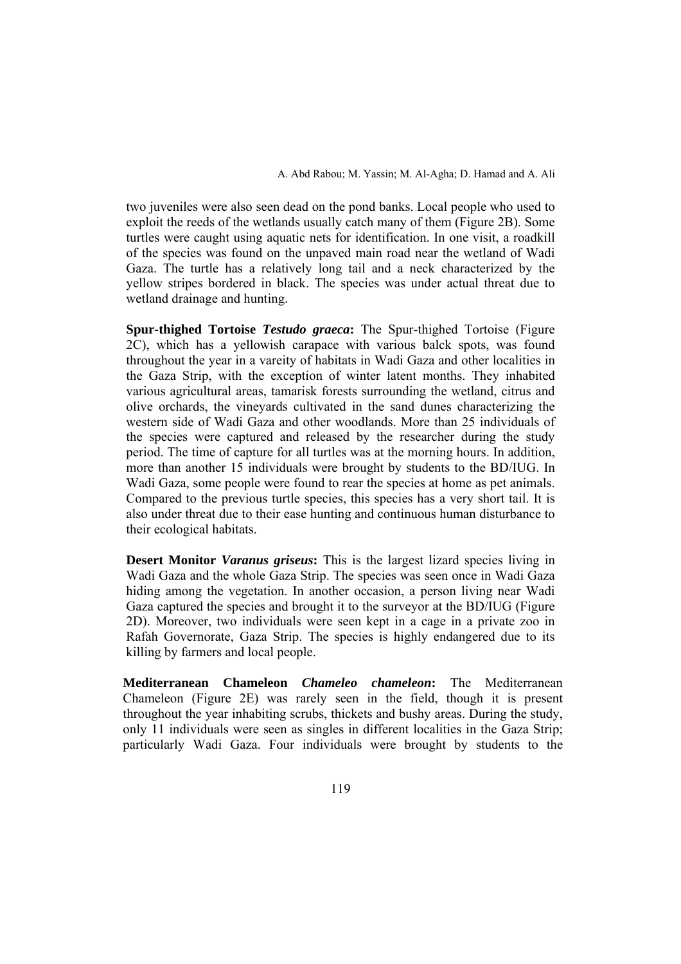two juveniles were also seen dead on the pond banks. Local people who used to exploit the reeds of the wetlands usually catch many of them (Figure 2B). Some turtles were caught using aquatic nets for identification. In one visit, a roadkill of the species was found on the unpaved main road near the wetland of Wadi Gaza. The turtle has a relatively long tail and a neck characterized by the yellow stripes bordered in black. The species was under actual threat due to wetland drainage and hunting.

**Spur-thighed Tortoise** *Testudo graeca***:** The Spur-thighed Tortoise (Figure 2C), which has a yellowish carapace with various balck spots, was found throughout the year in a vareity of habitats in Wadi Gaza and other localities in the Gaza Strip, with the exception of winter latent months. They inhabited various agricultural areas, tamarisk forests surrounding the wetland, citrus and olive orchards, the vineyards cultivated in the sand dunes characterizing the western side of Wadi Gaza and other woodlands. More than 25 individuals of the species were captured and released by the researcher during the study period. The time of capture for all turtles was at the morning hours. In addition, more than another 15 individuals were brought by students to the BD/IUG. In Wadi Gaza, some people were found to rear the species at home as pet animals. Compared to the previous turtle species, this species has a very short tail. It is also under threat due to their ease hunting and continuous human disturbance to their ecological habitats.

**Desert Monitor** *Varanus griseus***:** This is the largest lizard species living in Wadi Gaza and the whole Gaza Strip. The species was seen once in Wadi Gaza hiding among the vegetation. In another occasion, a person living near Wadi Gaza captured the species and brought it to the surveyor at the BD/IUG (Figure 2D). Moreover, two individuals were seen kept in a cage in a private zoo in Rafah Governorate, Gaza Strip. The species is highly endangered due to its killing by farmers and local people.

**Mediterranean Chameleon** *Chameleo chameleon***:** The Mediterranean Chameleon (Figure 2E) was rarely seen in the field, though it is present throughout the year inhabiting scrubs, thickets and bushy areas. During the study, only 11 individuals were seen as singles in different localities in the Gaza Strip; particularly Wadi Gaza. Four individuals were brought by students to the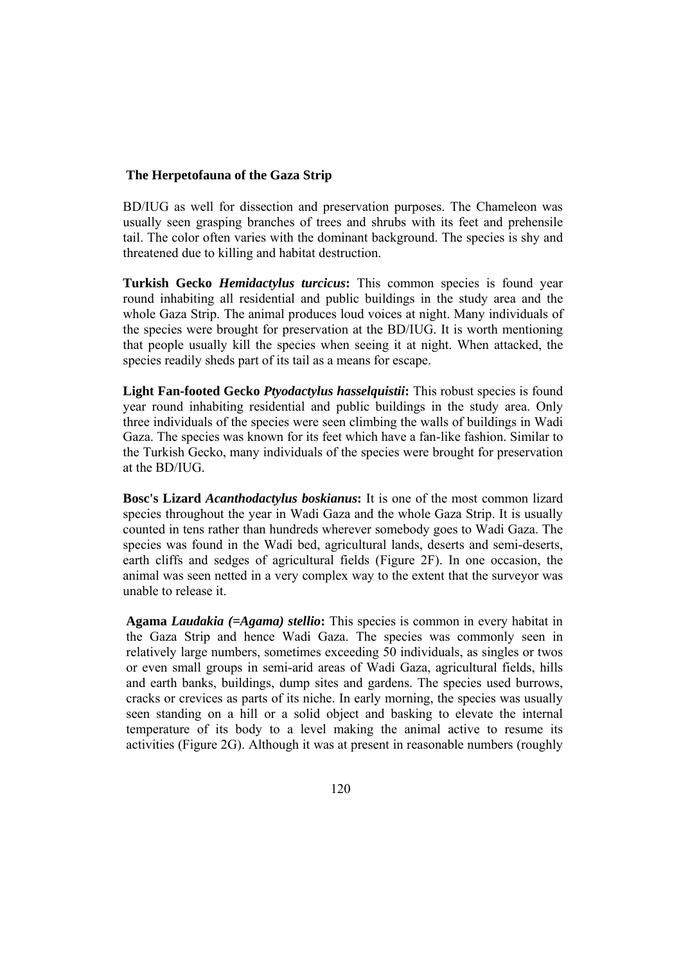BD/IUG as well for dissection and preservation purposes. The Chameleon was usually seen grasping branches of trees and shrubs with its feet and prehensile tail. The color often varies with the dominant background. The species is shy and threatened due to killing and habitat destruction.

**Turkish Gecko** *Hemidactylus turcicus***:** This common species is found year round inhabiting all residential and public buildings in the study area and the whole Gaza Strip. The animal produces loud voices at night. Many individuals of the species were brought for preservation at the BD/IUG. It is worth mentioning that people usually kill the species when seeing it at night. When attacked, the species readily sheds part of its tail as a means for escape.

**Light Fan-footed Gecko** *Ptyodactylus hasselquistii***:** This robust species is found year round inhabiting residential and public buildings in the study area. Only three individuals of the species were seen climbing the walls of buildings in Wadi Gaza. The species was known for its feet which have a fan-like fashion. Similar to the Turkish Gecko, many individuals of the species were brought for preservation at the BD/IUG.

**Bosc's Lizard** *Acanthodactylus boskianus***:** It is one of the most common lizard species throughout the year in Wadi Gaza and the whole Gaza Strip. It is usually counted in tens rather than hundreds wherever somebody goes to Wadi Gaza. The species was found in the Wadi bed, agricultural lands, deserts and semi-deserts, earth cliffs and sedges of agricultural fields (Figure 2F). In one occasion, the animal was seen netted in a very complex way to the extent that the surveyor was unable to release it.

**Agama** *Laudakia (=Agama) stellio***:** This species is common in every habitat in the Gaza Strip and hence Wadi Gaza. The species was commonly seen in relatively large numbers, sometimes exceeding 50 individuals, as singles or twos or even small groups in semi-arid areas of Wadi Gaza, agricultural fields, hills and earth banks, buildings, dump sites and gardens. The species used burrows, cracks or crevices as parts of its niche. In early morning, the species was usually seen standing on a hill or a solid object and basking to elevate the internal temperature of its body to a level making the animal active to resume its activities (Figure 2G). Although it was at present in reasonable numbers (roughly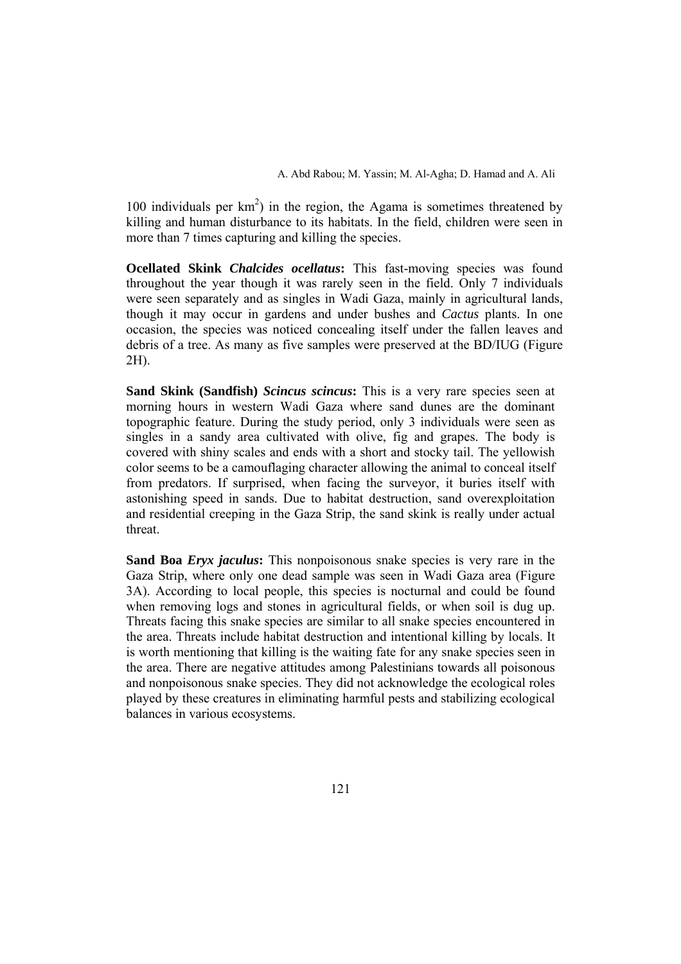100 individuals per  $km^2$ ) in the region, the Agama is sometimes threatened by killing and human disturbance to its habitats. In the field, children were seen in more than 7 times capturing and killing the species.

**Ocellated Skink** *Chalcides ocellatus***:** This fast-moving species was found throughout the year though it was rarely seen in the field. Only 7 individuals were seen separately and as singles in Wadi Gaza, mainly in agricultural lands, though it may occur in gardens and under bushes and *Cactus* plants. In one occasion, the species was noticed concealing itself under the fallen leaves and debris of a tree. As many as five samples were preserved at the BD/IUG (Figure 2H).

**Sand Skink (Sandfish)** *Scincus scincus***:** This is a very rare species seen at morning hours in western Wadi Gaza where sand dunes are the dominant topographic feature. During the study period, only 3 individuals were seen as singles in a sandy area cultivated with olive, fig and grapes. The body is covered with shiny scales and ends with a short and stocky tail. The yellowish color seems to be a camouflaging character allowing the animal to conceal itself from predators. If surprised, when facing the surveyor, it buries itself with astonishing speed in sands. Due to habitat destruction, sand overexploitation and residential creeping in the Gaza Strip, the sand skink is really under actual threat.

**Sand Boa** *Eryx jaculus***:** This nonpoisonous snake species is very rare in the Gaza Strip, where only one dead sample was seen in Wadi Gaza area (Figure 3A). According to local people, this species is nocturnal and could be found when removing logs and stones in agricultural fields, or when soil is dug up. Threats facing this snake species are similar to all snake species encountered in the area. Threats include habitat destruction and intentional killing by locals. It is worth mentioning that killing is the waiting fate for any snake species seen in the area. There are negative attitudes among Palestinians towards all poisonous and nonpoisonous snake species. They did not acknowledge the ecological roles played by these creatures in eliminating harmful pests and stabilizing ecological balances in various ecosystems.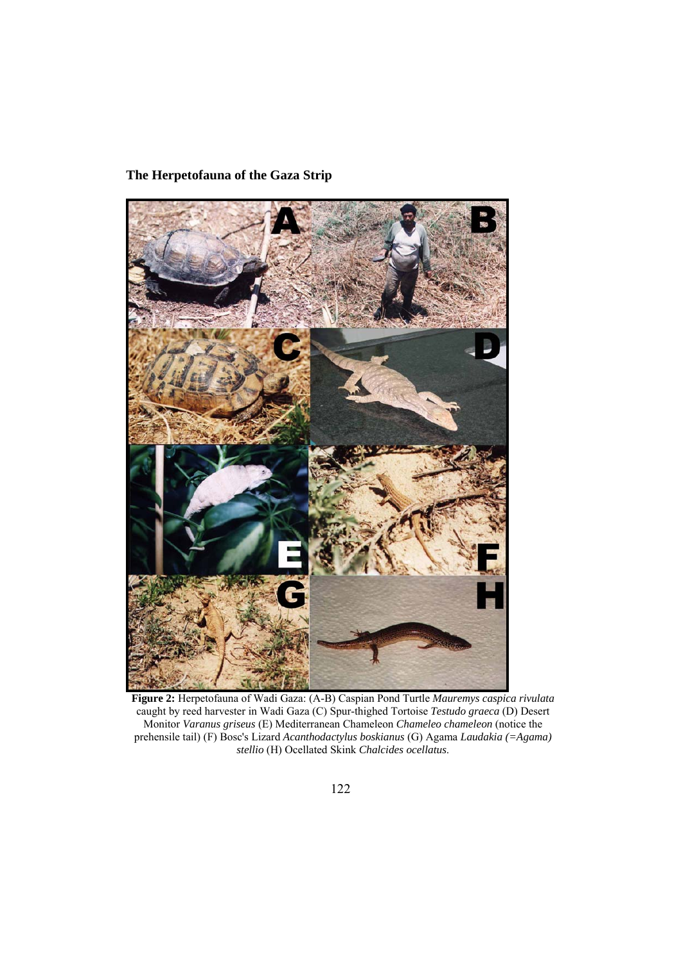

**Figure 2:** Herpetofauna of Wadi Gaza: (A-B) Caspian Pond Turtle *Mauremys caspica rivulata* caught by reed harvester in Wadi Gaza (C) Spur-thighed Tortoise *Testudo graeca* (D) Desert Monitor *Varanus griseus* (E) Mediterranean Chameleon *Chameleo chameleon* (notice the prehensile tail) (F) Bosc's Lizard *Acanthodactylus boskianus* (G) Agama *Laudakia (=Agama) stellio* (H) Ocellated Skink *Chalcides ocellatus*.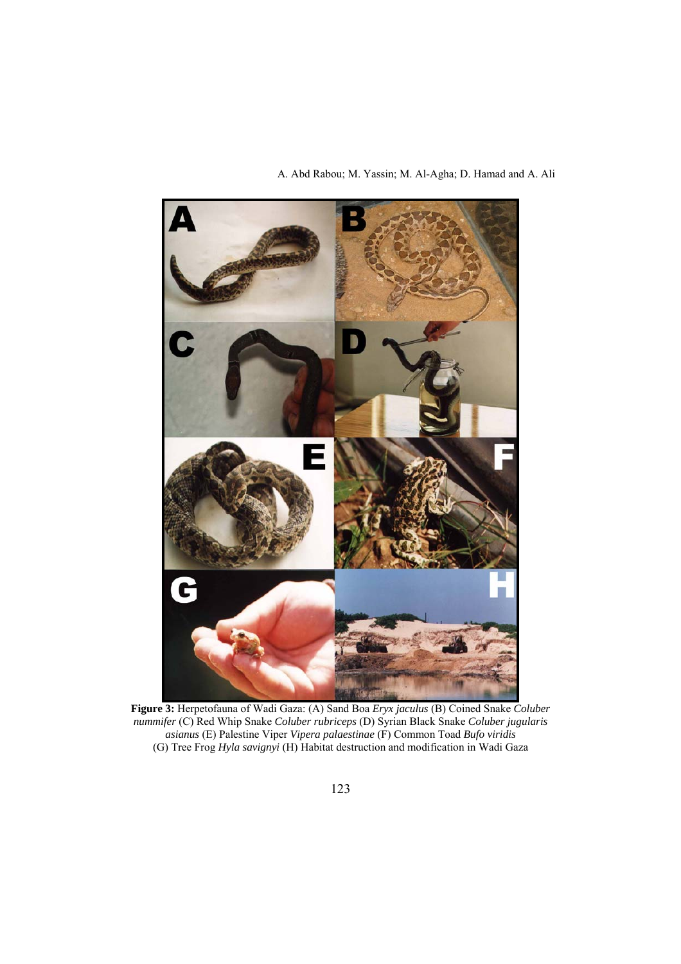

**Figure 3:** Herpetofauna of Wadi Gaza: (A) Sand Boa *Eryx jaculus* (B) Coined Snake *Coluber nummifer* (C) Red Whip Snake *Coluber rubriceps* (D) Syrian Black Snake *Coluber jugularis asianus* (E) Palestine Viper *Vipera palaestinae* (F) Common Toad *Bufo viridis* (G) Tree Frog *Hyla savignyi* (H) Habitat destruction and modification in Wadi Gaza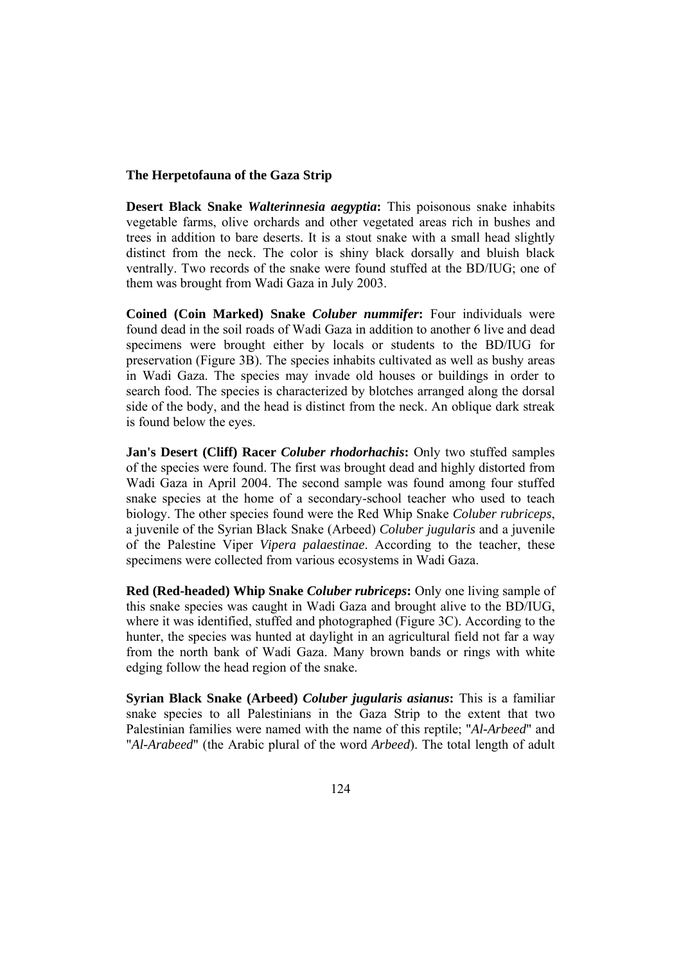**Desert Black Snake** *Walterinnesia aegyptia***:** This poisonous snake inhabits vegetable farms, olive orchards and other vegetated areas rich in bushes and trees in addition to bare deserts. It is a stout snake with a small head slightly distinct from the neck. The color is shiny black dorsally and bluish black ventrally. Two records of the snake were found stuffed at the BD/IUG; one of them was brought from Wadi Gaza in July 2003.

**Coined (Coin Marked) Snake** *Coluber nummifer***:** Four individuals were found dead in the soil roads of Wadi Gaza in addition to another 6 live and dead specimens were brought either by locals or students to the BD/IUG for preservation (Figure 3B). The species inhabits cultivated as well as bushy areas in Wadi Gaza. The species may invade old houses or buildings in order to search food. The species is characterized by blotches arranged along the dorsal side of the body, and the head is distinct from the neck. An oblique dark streak is found below the eyes.

**Jan's Desert (Cliff) Racer** *Coluber rhodorhachis***:** Only two stuffed samples of the species were found. The first was brought dead and highly distorted from Wadi Gaza in April 2004. The second sample was found among four stuffed snake species at the home of a secondary-school teacher who used to teach biology. The other species found were the Red Whip Snake *Coluber rubriceps*, a juvenile of the Syrian Black Snake (Arbeed) *Coluber jugularis* and a juvenile of the Palestine Viper *Vipera palaestinae*. According to the teacher, these specimens were collected from various ecosystems in Wadi Gaza.

**Red (Red-headed) Whip Snake** *Coluber rubriceps***:** Only one living sample of this snake species was caught in Wadi Gaza and brought alive to the BD/IUG, where it was identified, stuffed and photographed (Figure 3C). According to the hunter, the species was hunted at daylight in an agricultural field not far a way from the north bank of Wadi Gaza. Many brown bands or rings with white edging follow the head region of the snake.

**Syrian Black Snake (Arbeed)** *Coluber jugularis asianus***:** This is a familiar snake species to all Palestinians in the Gaza Strip to the extent that two Palestinian families were named with the name of this reptile; "*Al-Arbeed*" and "*Al-Arabeed*" (the Arabic plural of the word *Arbeed*). The total length of adult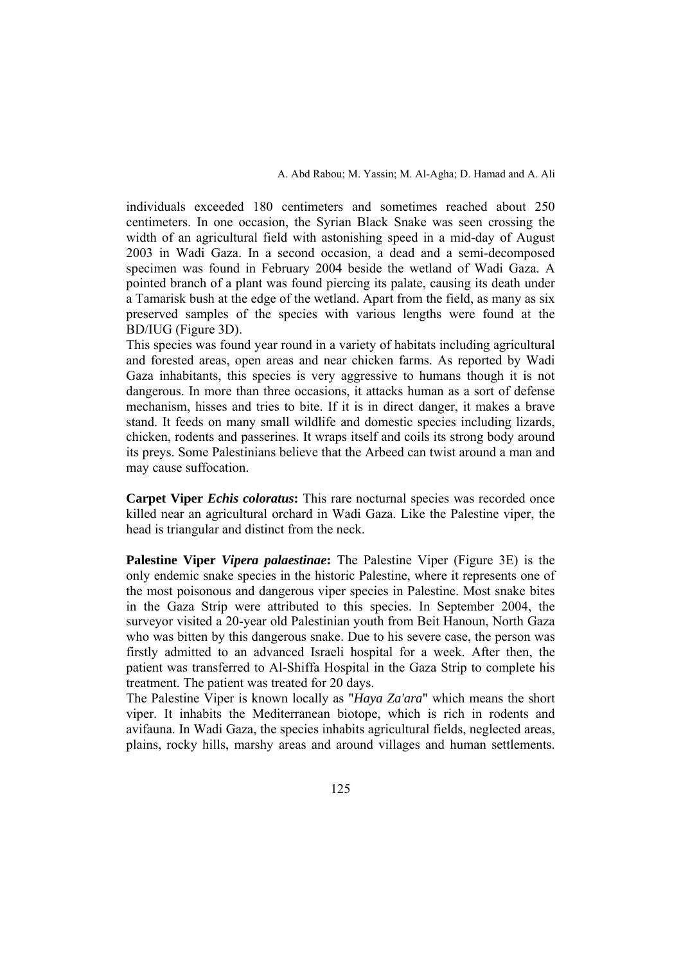individuals exceeded 180 centimeters and sometimes reached about 250 centimeters. In one occasion, the Syrian Black Snake was seen crossing the width of an agricultural field with astonishing speed in a mid-day of August 2003 in Wadi Gaza. In a second occasion, a dead and a semi-decomposed specimen was found in February 2004 beside the wetland of Wadi Gaza. A pointed branch of a plant was found piercing its palate, causing its death under a Tamarisk bush at the edge of the wetland. Apart from the field, as many as six preserved samples of the species with various lengths were found at the BD/IUG (Figure 3D).

This species was found year round in a variety of habitats including agricultural and forested areas, open areas and near chicken farms. As reported by Wadi Gaza inhabitants, this species is very aggressive to humans though it is not dangerous. In more than three occasions, it attacks human as a sort of defense mechanism, hisses and tries to bite. If it is in direct danger, it makes a brave stand. It feeds on many small wildlife and domestic species including lizards, chicken, rodents and passerines. It wraps itself and coils its strong body around its preys. Some Palestinians believe that the Arbeed can twist around a man and may cause suffocation.

**Carpet Viper** *Echis coloratus*: This rare nocturnal species was recorded once killed near an agricultural orchard in Wadi Gaza. Like the Palestine viper, the head is triangular and distinct from the neck.

**Palestine Viper** *Vipera palaestinae***:** The Palestine Viper (Figure 3E) is the only endemic snake species in the historic Palestine, where it represents one of the most poisonous and dangerous viper species in Palestine. Most snake bites in the Gaza Strip were attributed to this species. In September 2004, the surveyor visited a 20-year old Palestinian youth from Beit Hanoun, North Gaza who was bitten by this dangerous snake. Due to his severe case, the person was firstly admitted to an advanced Israeli hospital for a week. After then, the patient was transferred to Al-Shiffa Hospital in the Gaza Strip to complete his treatment. The patient was treated for 20 days.

The Palestine Viper is known locally as "*Haya Za'ara*" which means the short viper. It inhabits the Mediterranean biotope, which is rich in rodents and avifauna. In Wadi Gaza, the species inhabits agricultural fields, neglected areas, plains, rocky hills, marshy areas and around villages and human settlements.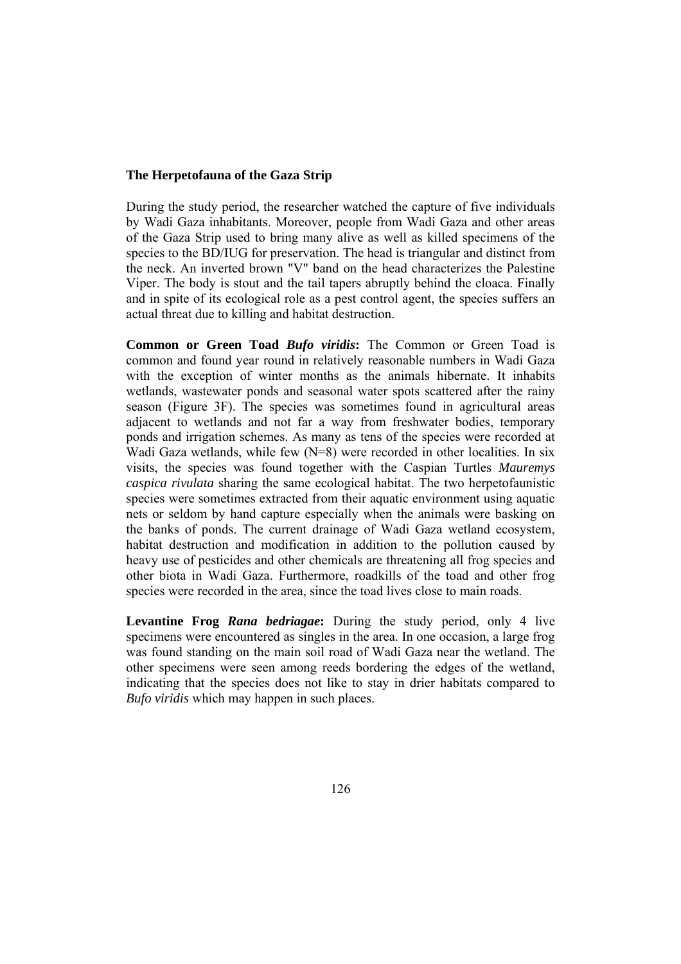During the study period, the researcher watched the capture of five individuals by Wadi Gaza inhabitants. Moreover, people from Wadi Gaza and other areas of the Gaza Strip used to bring many alive as well as killed specimens of the species to the BD/IUG for preservation. The head is triangular and distinct from the neck. An inverted brown "V" band on the head characterizes the Palestine Viper. The body is stout and the tail tapers abruptly behind the cloaca. Finally and in spite of its ecological role as a pest control agent, the species suffers an actual threat due to killing and habitat destruction.

**Common or Green Toad** *Bufo viridis***:** The Common or Green Toad is common and found year round in relatively reasonable numbers in Wadi Gaza with the exception of winter months as the animals hibernate. It inhabits wetlands, wastewater ponds and seasonal water spots scattered after the rainy season (Figure 3F). The species was sometimes found in agricultural areas adjacent to wetlands and not far a way from freshwater bodies, temporary ponds and irrigation schemes. As many as tens of the species were recorded at Wadi Gaza wetlands, while few (N=8) were recorded in other localities. In six visits, the species was found together with the Caspian Turtles *Mauremys caspica rivulata* sharing the same ecological habitat. The two herpetofaunistic species were sometimes extracted from their aquatic environment using aquatic nets or seldom by hand capture especially when the animals were basking on the banks of ponds. The current drainage of Wadi Gaza wetland ecosystem, habitat destruction and modification in addition to the pollution caused by heavy use of pesticides and other chemicals are threatening all frog species and other biota in Wadi Gaza. Furthermore, roadkills of the toad and other frog species were recorded in the area, since the toad lives close to main roads.

**Levantine Frog** *Rana bedriagae***:** During the study period, only 4 live specimens were encountered as singles in the area. In one occasion, a large frog was found standing on the main soil road of Wadi Gaza near the wetland. The other specimens were seen among reeds bordering the edges of the wetland, indicating that the species does not like to stay in drier habitats compared to *Bufo viridis* which may happen in such places.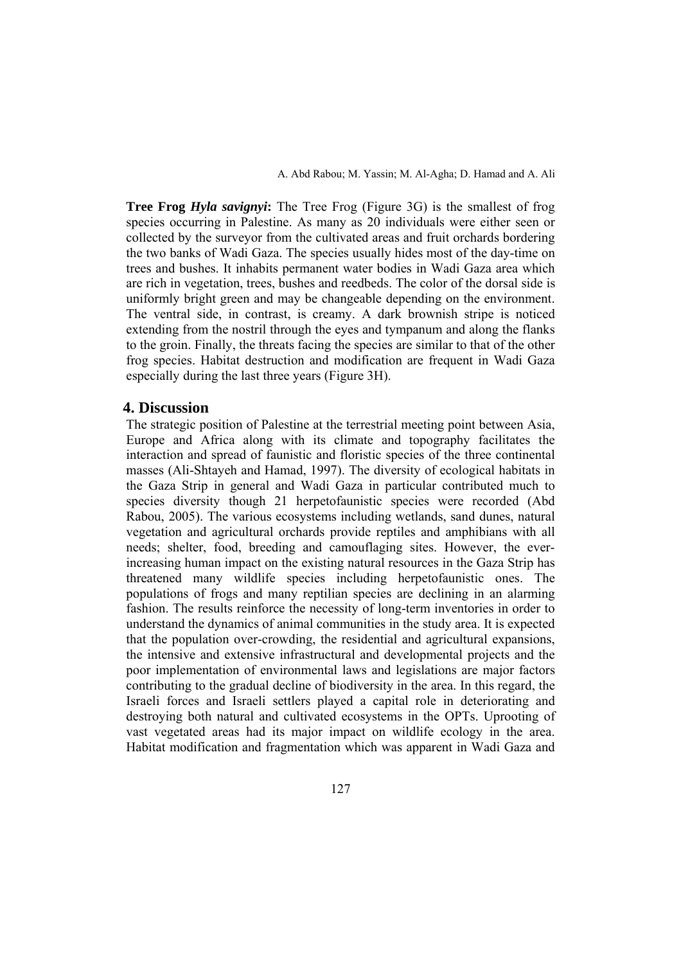**Tree Frog** *Hyla savignyi***:** The Tree Frog (Figure 3G) is the smallest of frog species occurring in Palestine. As many as 20 individuals were either seen or collected by the surveyor from the cultivated areas and fruit orchards bordering the two banks of Wadi Gaza. The species usually hides most of the day-time on trees and bushes. It inhabits permanent water bodies in Wadi Gaza area which are rich in vegetation, trees, bushes and reedbeds. The color of the dorsal side is uniformly bright green and may be changeable depending on the environment. The ventral side, in contrast, is creamy. A dark brownish stripe is noticed extending from the nostril through the eyes and tympanum and along the flanks to the groin. Finally, the threats facing the species are similar to that of the other frog species. Habitat destruction and modification are frequent in Wadi Gaza especially during the last three years (Figure 3H).

## **4. Discussion**

The strategic position of Palestine at the terrestrial meeting point between Asia, Europe and Africa along with its climate and topography facilitates the interaction and spread of faunistic and floristic species of the three continental masses (Ali-Shtayeh and Hamad, 1997). The diversity of ecological habitats in the Gaza Strip in general and Wadi Gaza in particular contributed much to species diversity though 21 herpetofaunistic species were recorded (Abd Rabou, 2005). The various ecosystems including wetlands, sand dunes, natural vegetation and agricultural orchards provide reptiles and amphibians with all needs; shelter, food, breeding and camouflaging sites. However, the everincreasing human impact on the existing natural resources in the Gaza Strip has threatened many wildlife species including herpetofaunistic ones. The populations of frogs and many reptilian species are declining in an alarming fashion. The results reinforce the necessity of long-term inventories in order to understand the dynamics of animal communities in the study area. It is expected that the population over-crowding, the residential and agricultural expansions, the intensive and extensive infrastructural and developmental projects and the poor implementation of environmental laws and legislations are major factors contributing to the gradual decline of biodiversity in the area. In this regard, the Israeli forces and Israeli settlers played a capital role in deteriorating and destroying both natural and cultivated ecosystems in the OPTs. Uprooting of vast vegetated areas had its major impact on wildlife ecology in the area. Habitat modification and fragmentation which was apparent in Wadi Gaza and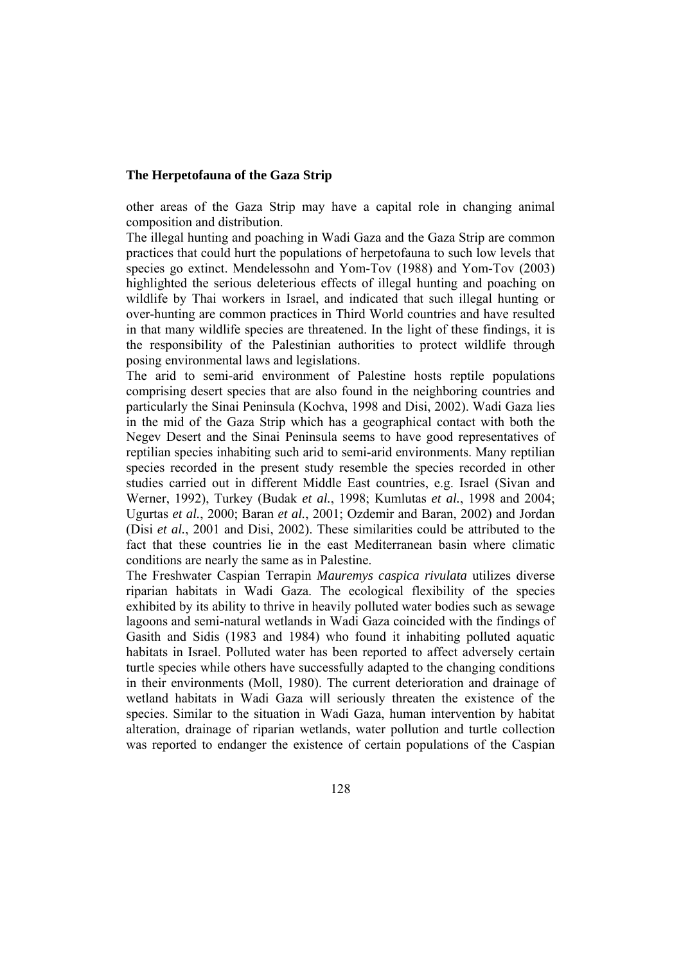other areas of the Gaza Strip may have a capital role in changing animal composition and distribution.

The illegal hunting and poaching in Wadi Gaza and the Gaza Strip are common practices that could hurt the populations of herpetofauna to such low levels that species go extinct. Mendelessohn and Yom-Tov (1988) and Yom-Tov (2003) highlighted the serious deleterious effects of illegal hunting and poaching on wildlife by Thai workers in Israel, and indicated that such illegal hunting or over-hunting are common practices in Third World countries and have resulted in that many wildlife species are threatened. In the light of these findings, it is the responsibility of the Palestinian authorities to protect wildlife through posing environmental laws and legislations.

The arid to semi-arid environment of Palestine hosts reptile populations comprising desert species that are also found in the neighboring countries and particularly the Sinai Peninsula (Kochva, 1998 and Disi, 2002). Wadi Gaza lies in the mid of the Gaza Strip which has a geographical contact with both the Negev Desert and the Sinai Peninsula seems to have good representatives of reptilian species inhabiting such arid to semi-arid environments. Many reptilian species recorded in the present study resemble the species recorded in other studies carried out in different Middle East countries, e.g. Israel (Sivan and Werner, 1992), Turkey (Budak *et al.*, 1998; Kumlutas *et al.*, 1998 and 2004; Ugurtas *et al.*, 2000; Baran *et al.*, 2001; Ozdemir and Baran, 2002) and Jordan (Disi *et al.*, 2001 and Disi, 2002). These similarities could be attributed to the fact that these countries lie in the east Mediterranean basin where climatic conditions are nearly the same as in Palestine.

The Freshwater Caspian Terrapin *Mauremys caspica rivulata* utilizes diverse riparian habitats in Wadi Gaza. The ecological flexibility of the species exhibited by its ability to thrive in heavily polluted water bodies such as sewage lagoons and semi-natural wetlands in Wadi Gaza coincided with the findings of Gasith and Sidis (1983 and 1984) who found it inhabiting polluted aquatic habitats in Israel. Polluted water has been reported to affect adversely certain turtle species while others have successfully adapted to the changing conditions in their environments (Moll, 1980). The current deterioration and drainage of wetland habitats in Wadi Gaza will seriously threaten the existence of the species. Similar to the situation in Wadi Gaza, human intervention by habitat alteration, drainage of riparian wetlands, water pollution and turtle collection was reported to endanger the existence of certain populations of the Caspian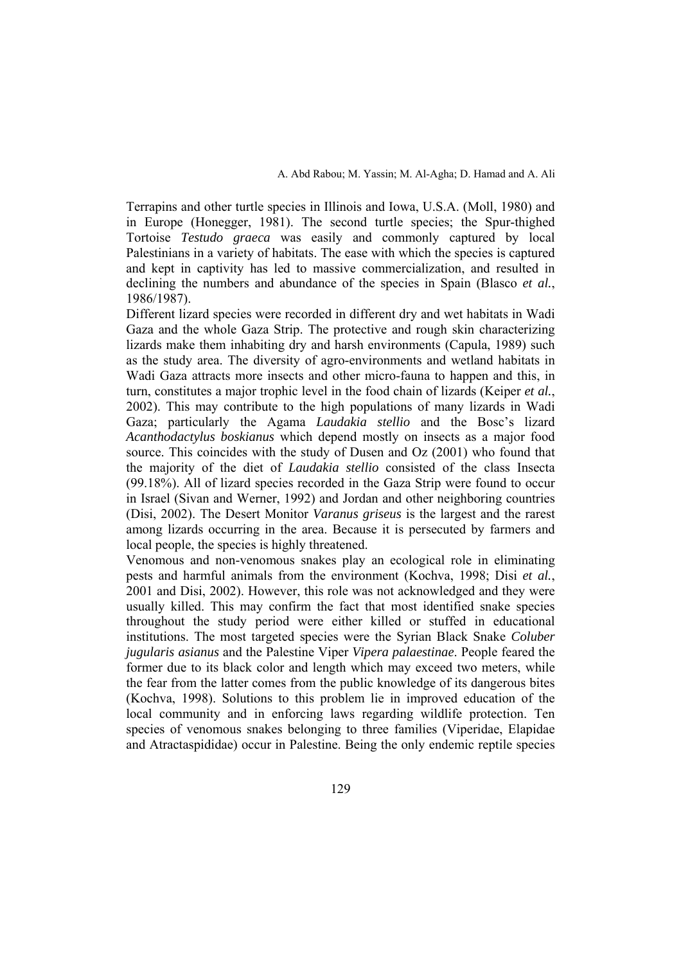Terrapins and other turtle species in Illinois and Iowa, U.S.A. (Moll, 1980) and in Europe (Honegger, 1981). The second turtle species; the Spur-thighed Tortoise *Testudo graeca* was easily and commonly captured by local Palestinians in a variety of habitats. The ease with which the species is captured and kept in captivity has led to massive commercialization, and resulted in declining the numbers and abundance of the species in Spain (Blasco *et al.*, 1986/1987).

Different lizard species were recorded in different dry and wet habitats in Wadi Gaza and the whole Gaza Strip. The protective and rough skin characterizing lizards make them inhabiting dry and harsh environments (Capula, 1989) such as the study area. The diversity of agro-environments and wetland habitats in Wadi Gaza attracts more insects and other micro-fauna to happen and this, in turn, constitutes a major trophic level in the food chain of lizards (Keiper *et al.*, 2002). This may contribute to the high populations of many lizards in Wadi Gaza; particularly the Agama *Laudakia stellio* and the Bosc's lizard *Acanthodactylus boskianus* which depend mostly on insects as a major food source. This coincides with the study of Dusen and Oz (2001) who found that the majority of the diet of *Laudakia stellio* consisted of the class Insecta (99.18%). All of lizard species recorded in the Gaza Strip were found to occur in Israel (Sivan and Werner, 1992) and Jordan and other neighboring countries (Disi, 2002). The Desert Monitor *Varanus griseus* is the largest and the rarest among lizards occurring in the area. Because it is persecuted by farmers and local people, the species is highly threatened.

Venomous and non-venomous snakes play an ecological role in eliminating pests and harmful animals from the environment (Kochva, 1998; Disi *et al.*, 2001 and Disi, 2002). However, this role was not acknowledged and they were usually killed. This may confirm the fact that most identified snake species throughout the study period were either killed or stuffed in educational institutions. The most targeted species were the Syrian Black Snake *Coluber jugularis asianus* and the Palestine Viper *Vipera palaestinae*. People feared the former due to its black color and length which may exceed two meters, while the fear from the latter comes from the public knowledge of its dangerous bites (Kochva, 1998). Solutions to this problem lie in improved education of the local community and in enforcing laws regarding wildlife protection. Ten species of venomous snakes belonging to three families (Viperidae, Elapidae and Atractaspididae) occur in Palestine. Being the only endemic reptile species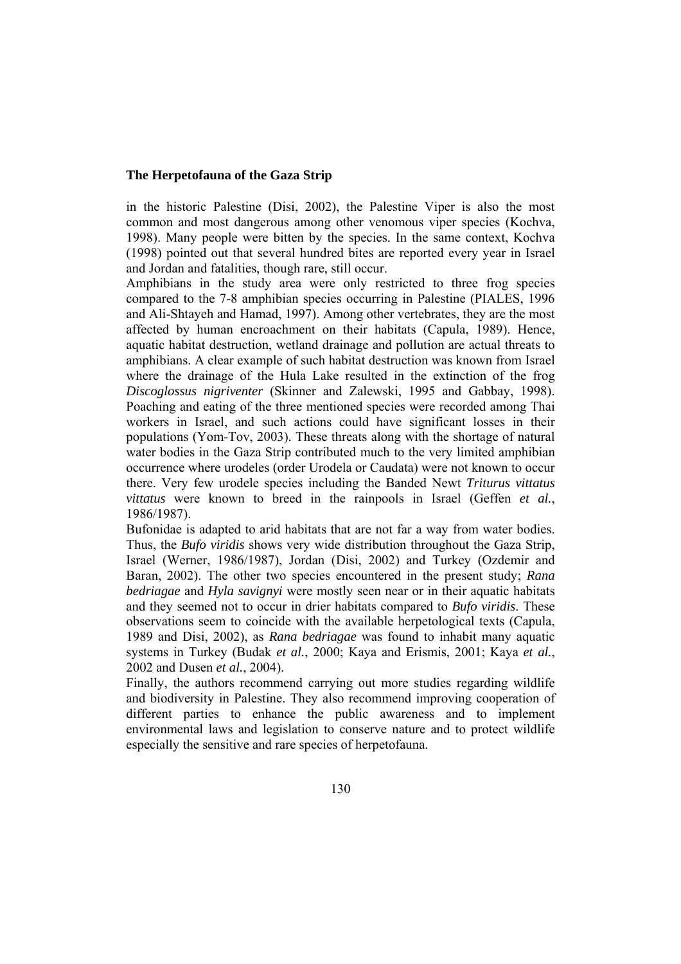in the historic Palestine (Disi, 2002), the Palestine Viper is also the most common and most dangerous among other venomous viper species (Kochva, 1998). Many people were bitten by the species. In the same context, Kochva (1998) pointed out that several hundred bites are reported every year in Israel and Jordan and fatalities, though rare, still occur.

Amphibians in the study area were only restricted to three frog species compared to the 7-8 amphibian species occurring in Palestine (PIALES, 1996 and Ali-Shtayeh and Hamad, 1997). Among other vertebrates, they are the most affected by human encroachment on their habitats (Capula, 1989). Hence, aquatic habitat destruction, wetland drainage and pollution are actual threats to amphibians. A clear example of such habitat destruction was known from Israel where the drainage of the Hula Lake resulted in the extinction of the frog *Discoglossus nigriventer* (Skinner and Zalewski, 1995 and Gabbay, 1998). Poaching and eating of the three mentioned species were recorded among Thai workers in Israel, and such actions could have significant losses in their populations (Yom-Tov, 2003). These threats along with the shortage of natural water bodies in the Gaza Strip contributed much to the very limited amphibian occurrence where urodeles (order Urodela or Caudata) were not known to occur there. Very few urodele species including the Banded Newt *Triturus vittatus vittatus* were known to breed in the rainpools in Israel (Geffen *et al.*, 1986/1987).

Bufonidae is adapted to arid habitats that are not far a way from water bodies. Thus, the *Bufo viridis* shows very wide distribution throughout the Gaza Strip, Israel (Werner, 1986/1987), Jordan (Disi, 2002) and Turkey (Ozdemir and Baran, 2002). The other two species encountered in the present study; *Rana bedriagae* and *Hyla savignyi* were mostly seen near or in their aquatic habitats and they seemed not to occur in drier habitats compared to *Bufo viridis*. These observations seem to coincide with the available herpetological texts (Capula, 1989 and Disi, 2002), as *Rana bedriagae* was found to inhabit many aquatic systems in Turkey (Budak *et al.*, 2000; Kaya and Erismis, 2001; Kaya *et al.*, 2002 and Dusen *et al.*, 2004).

Finally, the authors recommend carrying out more studies regarding wildlife and biodiversity in Palestine. They also recommend improving cooperation of different parties to enhance the public awareness and to implement environmental laws and legislation to conserve nature and to protect wildlife especially the sensitive and rare species of herpetofauna.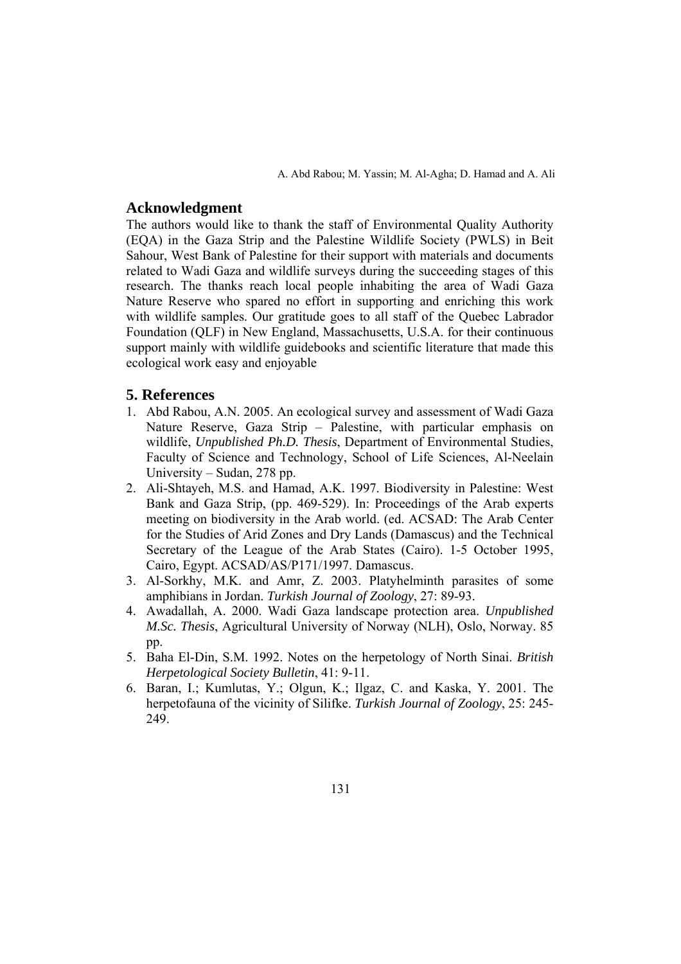# **Acknowledgment**

The authors would like to thank the staff of Environmental Quality Authority (EQA) in the Gaza Strip and the Palestine Wildlife Society (PWLS) in Beit Sahour, West Bank of Palestine for their support with materials and documents related to Wadi Gaza and wildlife surveys during the succeeding stages of this research. The thanks reach local people inhabiting the area of Wadi Gaza Nature Reserve who spared no effort in supporting and enriching this work with wildlife samples. Our gratitude goes to all staff of the Quebec Labrador Foundation (QLF) in New England, Massachusetts, U.S.A. for their continuous support mainly with wildlife guidebooks and scientific literature that made this ecological work easy and enjoyable

# **5. References**

- 1. Abd Rabou, A.N. 2005. An ecological survey and assessment of Wadi Gaza Nature Reserve, Gaza Strip – Palestine, with particular emphasis on wildlife, *Unpublished Ph.D. Thesis*, Department of Environmental Studies, Faculty of Science and Technology, School of Life Sciences, Al-Neelain University – Sudan, 278 pp.
- 2. Ali-Shtayeh, M.S. and Hamad, A.K. 1997. Biodiversity in Palestine: West Bank and Gaza Strip, (pp. 469-529). In: Proceedings of the Arab experts meeting on biodiversity in the Arab world. (ed. ACSAD: The Arab Center for the Studies of Arid Zones and Dry Lands (Damascus) and the Technical Secretary of the League of the Arab States (Cairo). 1-5 October 1995, Cairo, Egypt. ACSAD/AS/P171/1997. Damascus.
- 3. Al-Sorkhy, M.K. and Amr, Z. 2003. Platyhelminth parasites of some amphibians in Jordan. *Turkish Journal of Zoology*, 27: 89-93.
- 4. Awadallah, A. 2000. Wadi Gaza landscape protection area. *Unpublished M.Sc. Thesis*, Agricultural University of Norway (NLH), Oslo, Norway. 85 pp.
- 5. Baha El-Din, S.M. 1992. Notes on the herpetology of North Sinai. *British Herpetological Society Bulletin*, 41: 9-11.
- 6. Baran, I.; Kumlutas, Y.; Olgun, K.; Ilgaz, C. and Kaska, Y. 2001. The herpetofauna of the vicinity of Silifke. *Turkish Journal of Zoology*, 25: 245- 249.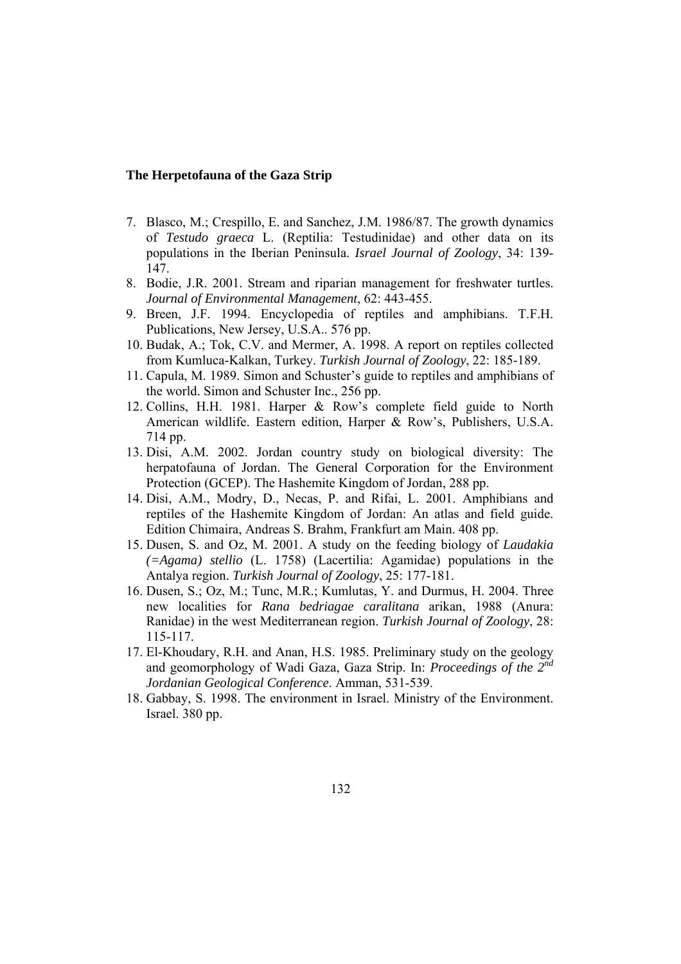- 7. Blasco, M.; Crespillo, E. and Sanchez, J.M. 1986/87. The growth dynamics of *Testudo graeca* L. (Reptilia: Testudinidae) and other data on its populations in the Iberian Peninsula. *Israel Journal of Zoology*, 34: 139- 147.
- 8. Bodie, J.R. 2001. Stream and riparian management for freshwater turtles. *Journal of Environmental Management*, 62: 443-455.
- 9. Breen, J.F. 1994. Encyclopedia of reptiles and amphibians. T.F.H. Publications, New Jersey, U.S.A.. 576 pp.
- 10. Budak, A.; Tok, C.V. and Mermer, A. 1998. A report on reptiles collected from Kumluca-Kalkan, Turkey. *Turkish Journal of Zoology*, 22: 185-189.
- 11. Capula, M. 1989. Simon and Schuster's guide to reptiles and amphibians of the world. Simon and Schuster Inc., 256 pp.
- 12. Collins, H.H. 1981. Harper & Row's complete field guide to North American wildlife. Eastern edition, Harper & Row's, Publishers, U.S.A. 714 pp.
- 13. Disi, A.M. 2002. Jordan country study on biological diversity: The herpatofauna of Jordan. The General Corporation for the Environment Protection (GCEP). The Hashemite Kingdom of Jordan, 288 pp.
- 14. Disi, A.M., Modry, D., Necas, P. and Rifai, L. 2001. Amphibians and reptiles of the Hashemite Kingdom of Jordan: An atlas and field guide. Edition Chimaira, Andreas S. Brahm, Frankfurt am Main. 408 pp.
- 15. Dusen, S. and Oz, M. 2001. A study on the feeding biology of *Laudakia (=Agama) stellio* (L. 1758) (Lacertilia: Agamidae) populations in the Antalya region. *Turkish Journal of Zoology*, 25: 177-181.
- 16. Dusen, S.; Oz, M.; Tunc, M.R.; Kumlutas, Y. and Durmus, H. 2004. Three new localities for *Rana bedriagae caralitana* arikan, 1988 (Anura: Ranidae) in the west Mediterranean region. *Turkish Journal of Zoology*, 28: 115-117.
- 17. El-Khoudary, R.H. and Anan, H.S. 1985. Preliminary study on the geology and geomorphology of Wadi Gaza, Gaza Strip. In: *Proceedings of the 2nd Jordanian Geological Conference*. Amman, 531-539.
- 18. Gabbay, S. 1998. The environment in Israel. Ministry of the Environment. Israel. 380 pp.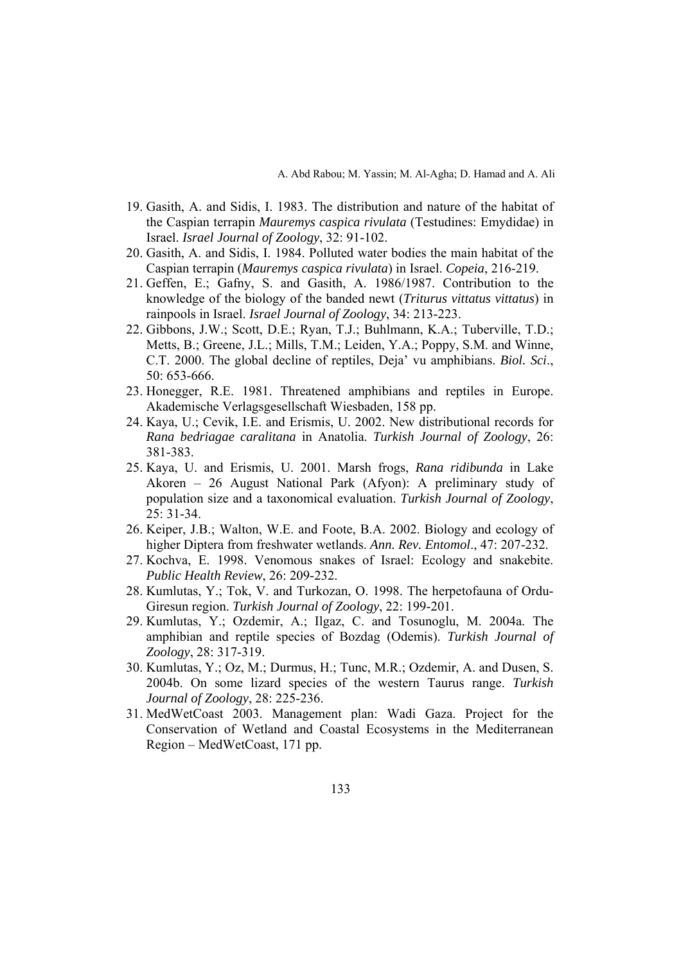- 19. Gasith, A. and Sidis, I. 1983. The distribution and nature of the habitat of the Caspian terrapin *Mauremys caspica rivulata* (Testudines: Emydidae) in Israel. *Israel Journal of Zoology*, 32: 91-102.
- 20. Gasith, A. and Sidis, I. 1984. Polluted water bodies the main habitat of the Caspian terrapin (*Mauremys caspica rivulata*) in Israel. *Copeia*, 216-219.
- 21. Geffen, E.; Gafny, S. and Gasith, A. 1986/1987. Contribution to the knowledge of the biology of the banded newt (*Triturus vittatus vittatus*) in rainpools in Israel. *Israel Journal of Zoology*, 34: 213-223.
- 22. Gibbons, J.W.; Scott, D.E.; Ryan, T.J.; Buhlmann, K.A.; Tuberville, T.D.; Metts, B.; Greene, J.L.; Mills, T.M.; Leiden, Y.A.; Poppy, S.M. and Winne, C.T. 2000. The global decline of reptiles, Deja' vu amphibians. *Biol. Sci*., 50: 653-666.
- 23. Honegger, R.E. 1981. Threatened amphibians and reptiles in Europe. Akademische Verlagsgesellschaft Wiesbaden, 158 pp.
- 24. Kaya, U.; Cevik, I.E. and Erismis, U. 2002. New distributional records for *Rana bedriagae caralitana* in Anatolia. *Turkish Journal of Zoology*, 26: 381-383.
- 25. Kaya, U. and Erismis, U. 2001. Marsh frogs, *Rana ridibunda* in Lake Akoren – 26 August National Park (Afyon): A preliminary study of population size and a taxonomical evaluation. *Turkish Journal of Zoology*, 25: 31-34.
- 26. Keiper, J.B.; Walton, W.E. and Foote, B.A. 2002. Biology and ecology of higher Diptera from freshwater wetlands. *Ann. Rev. Entomol*., 47: 207-232.
- 27. Kochva, E. 1998. Venomous snakes of Israel: Ecology and snakebite. *Public Health Review*, 26: 209-232.
- 28. Kumlutas, Y.; Tok, V. and Turkozan, O. 1998. The herpetofauna of Ordu-Giresun region. *Turkish Journal of Zoology*, 22: 199-201.
- 29. Kumlutas, Y.; Ozdemir, A.; Ilgaz, C. and Tosunoglu, M. 2004a. The amphibian and reptile species of Bozdag (Odemis). *Turkish Journal of Zoology*, 28: 317-319.
- 30. Kumlutas, Y.; Oz, M.; Durmus, H.; Tunc, M.R.; Ozdemir, A. and Dusen, S. 2004b. On some lizard species of the western Taurus range. *Turkish Journal of Zoology*, 28: 225-236.
- 31. MedWetCoast 2003. Management plan: Wadi Gaza. Project for the Conservation of Wetland and Coastal Ecosystems in the Mediterranean Region – MedWetCoast, 171 pp.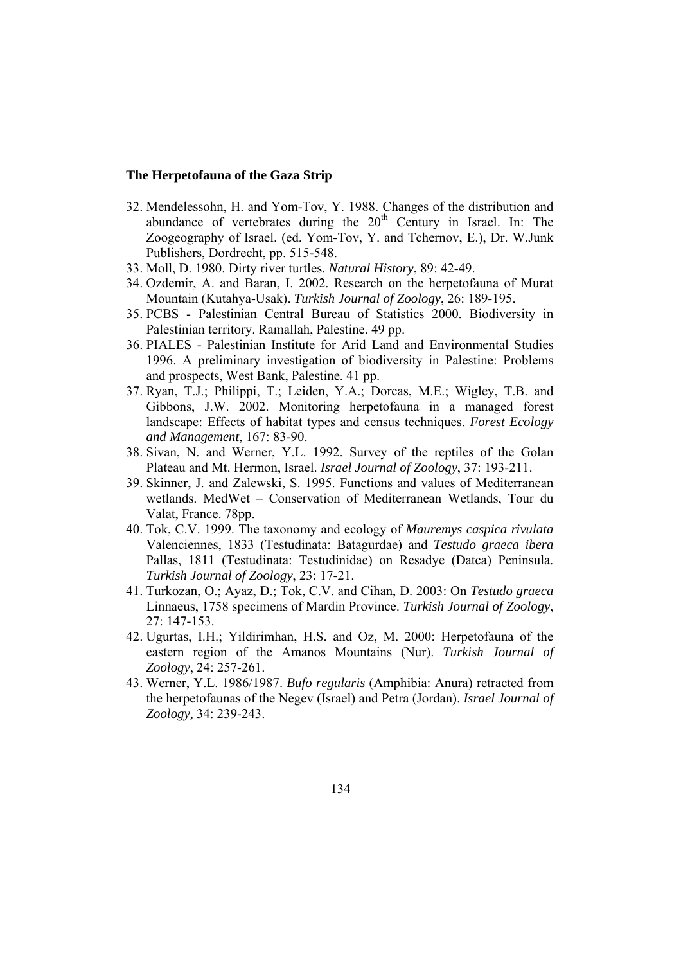- 32. Mendelessohn, H. and Yom-Tov, Y. 1988. Changes of the distribution and abundance of vertebrates during the  $20<sup>th</sup>$  Century in Israel. In: The Zoogeography of Israel. (ed. Yom-Tov, Y. and Tchernov, E.), Dr. W.Junk Publishers, Dordrecht, pp. 515-548.
- 33. Moll, D. 1980. Dirty river turtles. *Natural History*, 89: 42-49.
- 34. Ozdemir, A. and Baran, I. 2002. Research on the herpetofauna of Murat Mountain (Kutahya-Usak). *Turkish Journal of Zoology*, 26: 189-195.
- 35. PCBS Palestinian Central Bureau of Statistics 2000. Biodiversity in Palestinian territory. Ramallah, Palestine. 49 pp.
- 36. PIALES Palestinian Institute for Arid Land and Environmental Studies 1996. A preliminary investigation of biodiversity in Palestine: Problems and prospects, West Bank, Palestine. 41 pp.
- 37. Ryan, T.J.; Philippi, T.; Leiden, Y.A.; Dorcas, M.E.; Wigley, T.B. and Gibbons, J.W. 2002. Monitoring herpetofauna in a managed forest landscape: Effects of habitat types and census techniques. *Forest Ecology and Management*, 167: 83-90.
- 38. Sivan, N. and Werner, Y.L. 1992. Survey of the reptiles of the Golan Plateau and Mt. Hermon, Israel. *Israel Journal of Zoology*, 37: 193-211.
- 39. Skinner, J. and Zalewski, S. 1995. Functions and values of Mediterranean wetlands. MedWet – Conservation of Mediterranean Wetlands, Tour du Valat, France. 78pp.
- 40. Tok, C.V. 1999. The taxonomy and ecology of *Mauremys caspica rivulata* Valenciennes, 1833 (Testudinata: Batagurdae) and *Testudo graeca ibera* Pallas, 1811 (Testudinata: Testudinidae) on Resadye (Datca) Peninsula. *Turkish Journal of Zoology*, 23: 17-21.
- 41. Turkozan, O.; Ayaz, D.; Tok, C.V. and Cihan, D. 2003: On *Testudo graeca* Linnaeus, 1758 specimens of Mardin Province. *Turkish Journal of Zoology*, 27: 147-153.
- 42. Ugurtas, I.H.; Yildirimhan, H.S. and Oz, M. 2000: Herpetofauna of the eastern region of the Amanos Mountains (Nur). *Turkish Journal of Zoology*, 24: 257-261.
- 43. Werner, Y.L. 1986/1987. *Bufo regularis* (Amphibia: Anura) retracted from the herpetofaunas of the Negev (Israel) and Petra (Jordan). *Israel Journal of Zoology,* 34: 239-243.